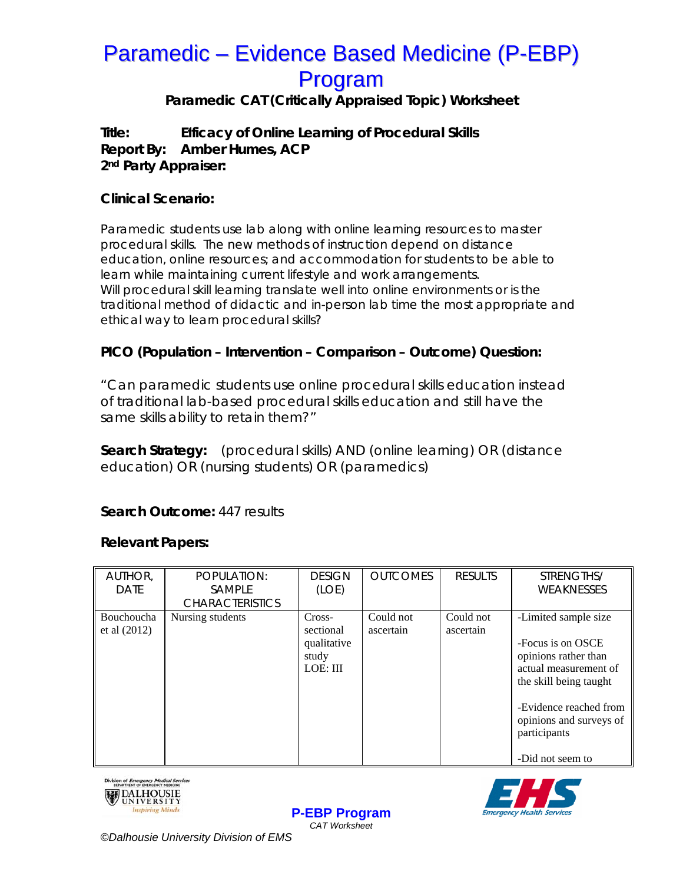# **Paramedic – Evidence Based Medicine (P-EBP)** Program

Paramedic CAT (Critically Appraised Topic) Worksheet

Title: **Efficacy of Online Learning of Procedural Skills Amber Humes, ACP** Report By: 2<sup>nd</sup> Party Appraiser:

### **Clinical Scenario:**

Paramedic students use lab along with online learning resources to master procedural skills. The new methods of instruction depend on distance education, online resources: and accommodation for students to be able to learn while maintaining current lifestyle and work arrangements. Will procedural skill learning translate well into online environments or is the traditional method of didactic and in-person lab time the most appropriate and ethical way to learn procedural skills?

## PICO (Population - Intervention - Comparison - Outcome) Question:

"Can paramedic students use online procedural skills education instead of traditional lab-based procedural skills education and still have the same skills ability to retain them?"

**Search Strategy:** (procedural skills) AND (online learning) OR (distance education) OR (nursing students) OR (paramedics)

## Search Outcome: 447 results

#### **Relevant Papers:**

| AUTHOR,<br><b>DATE</b>       | POPULATION:<br><b>SAMPLE</b><br><b>CHARACTERISTICS</b> | <b>DESIGN</b><br>(LOE)                                  | <b>OUTCOMES</b>        | <b>RESULTS</b>         | STRENGTHS/<br><b>WEAKNESSES</b>                                                                                                                                                                               |
|------------------------------|--------------------------------------------------------|---------------------------------------------------------|------------------------|------------------------|---------------------------------------------------------------------------------------------------------------------------------------------------------------------------------------------------------------|
| Bouchoucha<br>et al $(2012)$ | Nursing students                                       | Cross-<br>sectional<br>qualitative<br>study<br>LOE: III | Could not<br>ascertain | Could not<br>ascertain | -Limited sample size<br>-Focus is on OSCE<br>opinions rather than<br>actual measurement of<br>the skill being taught<br>-Evidence reached from<br>opinions and surveys of<br>participants<br>-Did not seem to |

**P-EBP Program** CAT Worksheet





©Dalhousie University Division of EMS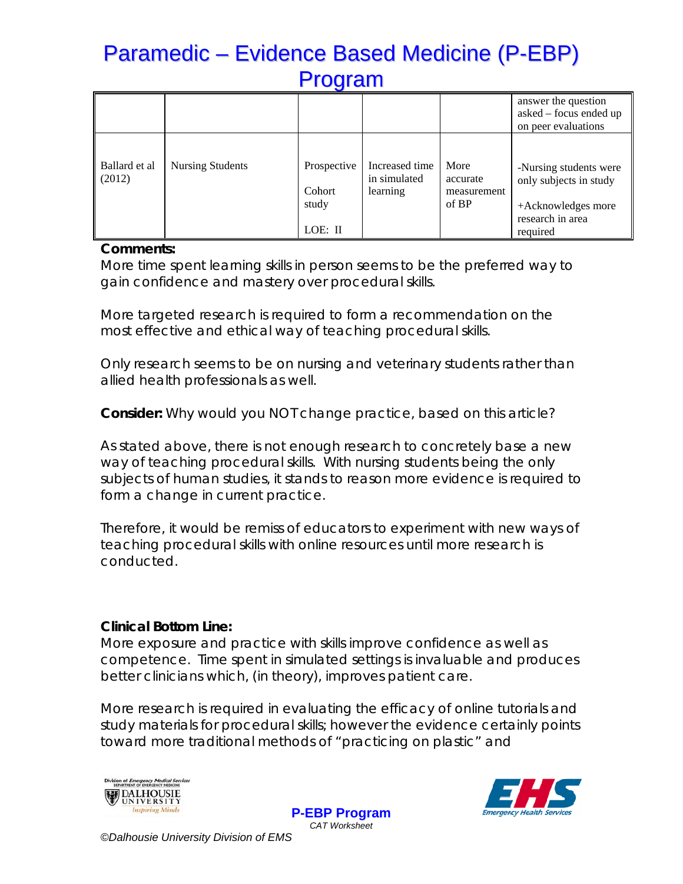# **Paramedic – Evidence Based Medicine (P-EBP)** Program

|                         |                         |                                           |                                            |                                          | answer the question<br>asked - focus ended up<br>on peer evaluations                                   |
|-------------------------|-------------------------|-------------------------------------------|--------------------------------------------|------------------------------------------|--------------------------------------------------------------------------------------------------------|
| Ballard et al<br>(2012) | <b>Nursing Students</b> | Prospective<br>Cohort<br>study<br>LOE: II | Increased time<br>in simulated<br>learning | More<br>accurate<br>measurement<br>of BP | -Nursing students were<br>only subjects in study<br>+Acknowledges more<br>research in area<br>required |

#### Comments:

More time spent learning skills in person seems to be the preferred way to gain confidence and mastery over procedural skills.

More targeted research is required to form a recommendation on the most effective and ethical way of teaching procedural skills.

Only research seems to be on nursing and veterinary students rather than allied health professionals as well.

# Consider: Why would you NOT change practice, based on this article?

As stated above, there is not enough research to concretely base a new way of teaching procedural skills. With nursing students being the only subjects of human studies, it stands to reason more evidence is required to form a change in current practice.

Therefore, it would be remiss of educators to experiment with new ways of teaching procedural skills with online resources until more research is conducted.

## **Clinical Bottom Line:**

More exposure and practice with skills improve confidence as well as competence. Time spent in simulated settings is invaluable and produces better clinicians which, (in theory), improves patient care.

More research is required in evaluating the efficacy of online tutorials and study materials for procedural skills; however the evidence certainly points toward more traditional methods of "practicing on plastic" and

> **P-EBP Program** CAT Worksheet





©Dalhousie University Division of EMS